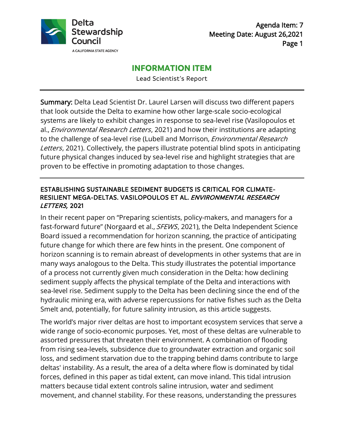

## **INFORMATION ITEM**

Lead Scientist's Report

Summary: Delta Lead Scientist Dr. Laurel Larsen will discuss two different papers that look outside the Delta to examine how other large-scale socio-ecological systems are likely to exhibit changes in response to sea-level rise (Vasilopoulos et al., *Environmental Research Letters*, 2021) and how their institutions are adapting to the challenge of sea-level rise (Lubell and Morrison, *Environmental Research* Letters, 2021). Collectively, the papers illustrate potential blind spots in anticipating future physical changes induced by sea-level rise and highlight strategies that are proven to be effective in promoting adaptation to those changes.

#### ESTABLISHING SUSTAINABLE SEDIMENT BUDGETS IS CRITICAL FOR CLIMATE-RESILIENT MEGA-DELTAS. VASILOPOULOS ET AL. ENVIRONMENTAL RESEARCH LETTERS, 2021

In their recent paper on "Preparing scientists, policy-makers, and managers for a fast-forward future" (Norgaard et al., *SFEWS*, 2021), the Delta Independent Science Board issued a recommendation for horizon scanning, the practice of anticipating future change for which there are few hints in the present. One component of horizon scanning is to remain abreast of developments in other systems that are in many ways analogous to the Delta. This study illustrates the potential importance of a process not currently given much consideration in the Delta: how declining sediment supply affects the physical template of the Delta and interactions with sea-level rise. Sediment supply to the Delta has been declining since the end of the hydraulic mining era, with adverse repercussions for native fishes such as the Delta Smelt and, potentially, for future salinity intrusion, as this article suggests.

The world's major river deltas are host to important ecosystem services that serve a wide range of socio-economic purposes. Yet, most of these deltas are vulnerable to assorted pressures that threaten their environment. A combination of flooding from rising sea-levels, subsidence due to groundwater extraction and organic soil loss, and sediment starvation due to the trapping behind dams contribute to large deltas' instability. As a result, the area of a delta where flow is dominated by tidal forces, defined in this paper as tidal extent, can move inland. This tidal intrusion matters because tidal extent controls saline intrusion, water and sediment movement, and channel stability. For these reasons, understanding the pressures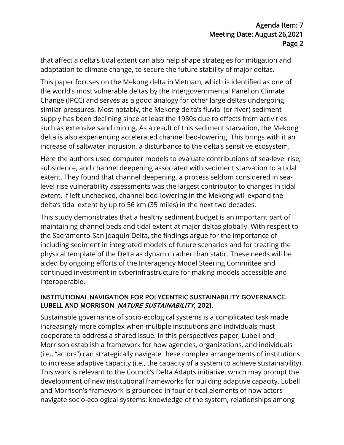that affect a delta's tidal extent can also help shape strategies for mitigation and adaptation to climate change, to secure the future stability of major deltas.

This paper focuses on the Mekong delta in Vietnam, which is identified as one of the world's most vulnerable deltas by the Intergovernmental Panel on Climate Change (IPCC) and serves as a good analogy for other large deltas undergoing similar pressures. Most notably, the Mekong delta's fluvial (or river) sediment supply has been declining since at least the 1980s due to effects from activities such as extensive sand mining. As a result of this sediment starvation, the Mekong delta is also experiencing accelerated channel bed-lowering. This brings with it an increase of saltwater intrusion, a disturbance to the delta's sensitive ecosystem.

Here the authors used computer models to evaluate contributions of sea-level rise, subsidence, and channel deepening associated with sediment starvation to a tidal extent. They found that channel deepening, a process seldom considered in sealevel rise vulnerability assessments was the largest contributor to changes in tidal extent. If left unchecked, channel bed-lowering in the Mekong will expand the delta's tidal extent by up to 56 km (35 miles) in the next two decades.

This study demonstrates that a healthy sediment budget is an important part of maintaining channel beds and tidal extent at major deltas globally. With respect to the Sacramento-San Joaquin Delta, the findings argue for the importance of including sediment in integrated models of future scenarios and for treating the physical template of the Delta as dynamic rather than static. These needs will be aided by ongoing efforts of the Interagency Model Steering Committee and continued investment in cyberinfrastructure for making models accessible and interoperable.

#### INSTITUTIONAL NAVIGATION FOR POLYCENTRIC SUSTAINABILITY GOVERNANCE. LUBELL AND MORRISON. NATURE SUSTAINABILITY, 2021.

Sustainable governance of socio-ecological systems is a complicated task made increasingly more complex when multiple institutions and individuals must cooperate to address a shared issue. In this perspectives paper, Lubell and Morrison establish a framework for how agencies, organizations, and individuals (i.e., "actors") can strategically navigate these complex arrangements of institutions to increase adaptive capacity (i.e., the capacity of a system to achieve sustainability). This work is relevant to the Council's Delta Adapts initiative, which may prompt the development of new institutional frameworks for building adaptive capacity. Lubell and Morrison's framework is grounded in four critical elements of how actors navigate socio-ecological systems: knowledge of the system, relationships among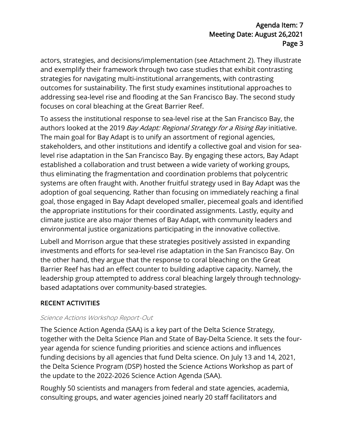actors, strategies, and decisions/implementation (see Attachment 2). They illustrate and exemplify their framework through two case studies that exhibit contrasting strategies for navigating multi-institutional arrangements, with contrasting outcomes for sustainability. The first study examines institutional approaches to addressing sea-level rise and flooding at the San Francisco Bay. The second study focuses on coral bleaching at the Great Barrier Reef.

To assess the institutional response to sea-level rise at the San Francisco Bay, the authors looked at the 2019 Bay Adapt: Regional Strategy for a Rising Bay initiative. The main goal for Bay Adapt is to unify an assortment of regional agencies, stakeholders, and other institutions and identify a collective goal and vision for sealevel rise adaptation in the San Francisco Bay. By engaging these actors, Bay Adapt established a collaboration and trust between a wide variety of working groups, thus eliminating the fragmentation and coordination problems that polycentric systems are often fraught with. Another fruitful strategy used in Bay Adapt was the adoption of goal sequencing. Rather than focusing on immediately reaching a final goal, those engaged in Bay Adapt developed smaller, piecemeal goals and identified the appropriate institutions for their coordinated assignments. Lastly, equity and climate justice are also major themes of Bay Adapt, with community leaders and environmental justice organizations participating in the innovative collective.

Lubell and Morrison argue that these strategies positively assisted in expanding investments and efforts for sea-level rise adaptation in the San Francisco Bay. On the other hand, they argue that the response to coral bleaching on the Great Barrier Reef has had an effect counter to building adaptive capacity. Namely, the leadership group attempted to address coral bleaching largely through technologybased adaptations over community-based strategies.

# RECENT ACTIVITIES

#### Science Actions Workshop Report-Out

The Science Action Agenda (SAA) is a key part of the Delta Science Strategy, together with the Delta Science Plan and State of Bay-Delta Science. It sets the fouryear agenda for science funding priorities and science actions and influences funding decisions by all agencies that fund Delta science. On July 13 and 14, 2021, the Delta Science Program (DSP) hosted the Science Actions Workshop as part of the update to the 2022-2026 Science Action Agenda (SAA).

Roughly 50 scientists and managers from federal and state agencies, academia, consulting groups, and water agencies joined nearly 20 staff facilitators and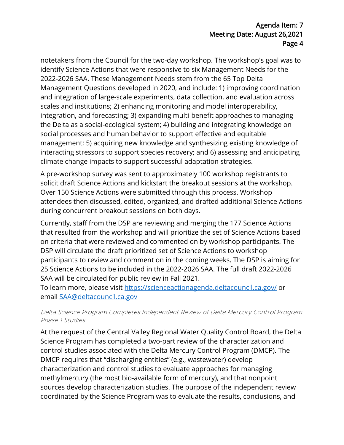notetakers from the Council for the two-day workshop. The workshop's goal was to identify Science Actions that were responsive to six Management Needs for the 2022-2026 SAA. These Management Needs stem from the 65 Top Delta Management Questions developed in 2020, and include: 1) improving coordination and integration of large-scale experiments, data collection, and evaluation across scales and institutions; 2) enhancing monitoring and model interoperability, integration, and forecasting; 3) expanding multi-benefit approaches to managing the Delta as a social-ecological system; 4) building and integrating knowledge on social processes and human behavior to support effective and equitable management; 5) acquiring new knowledge and synthesizing existing knowledge of interacting stressors to support species recovery; and 6) assessing and anticipating climate change impacts to support successful adaptation strategies.

A pre-workshop survey was sent to approximately 100 workshop registrants to solicit draft Science Actions and kickstart the breakout sessions at the workshop. Over 150 Science Actions were submitted through this process. Workshop attendees then discussed, edited, organized, and drafted additional Science Actions during concurrent breakout sessions on both days.

Currently, staff from the DSP are reviewing and merging the 177 Science Actions that resulted from the workshop and will prioritize the set of Science Actions based on criteria that were reviewed and commented on by workshop participants. The DSP will circulate the draft prioritized set of Science Actions to workshop participants to review and comment on in the coming weeks. The DSP is aiming for 25 Science Actions to be included in the 2022-2026 SAA. The full draft 2022-2026 SAA will be circulated for public review in Fall 2021.

To learn more, please visit<https://scienceactionagenda.deltacouncil.ca.gov/> or email [SAA@deltacouncil.ca.gov](mailto:SAA@deltacouncil.ca.gov) 

#### Delta Science Program Completes Independent Review of Delta Mercury Control Program Phase 1 Studies

At the request of the Central Valley Regional Water Quality Control Board, the Delta Science Program has completed a two-part review of the characterization and control studies associated with the Delta Mercury Control Program (DMCP). The DMCP requires that "discharging entities" (e.g., wastewater) develop characterization and control studies to evaluate approaches for managing methylmercury (the most bio-available form of mercury), and that nonpoint sources develop characterization studies. The purpose of the independent review coordinated by the Science Program was to evaluate the results, conclusions, and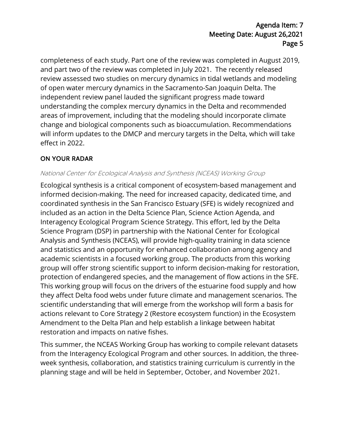completeness of each study. Part one of the review was completed in August 2019, and part two of the review was completed in July 2021. The recently released review assessed two studies on mercury dynamics in tidal wetlands and modeling of open water mercury dynamics in the Sacramento-San Joaquin Delta. The independent review panel lauded the significant progress made toward understanding the complex mercury dynamics in the Delta and recommended areas of improvement, including that the modeling should incorporate climate change and biological components such as bioaccumulation. Recommendations will inform updates to the DMCP and mercury targets in the Delta, which will take effect in 2022.

#### ON YOUR RADAR

#### National Center for Ecological Analysis and Synthesis (NCEAS) Working Group

Ecological synthesis is a critical component of ecosystem-based management and informed decision-making. The need for increased capacity, dedicated time, and coordinated synthesis in the San Francisco Estuary (SFE) is widely recognized and included as an action in the Delta Science Plan, Science Action Agenda, and Interagency Ecological Program Science Strategy. This effort, led by the Delta Science Program (DSP) in partnership with the National Center for Ecological Analysis and Synthesis (NCEAS), will provide high-quality training in data science and statistics and an opportunity for enhanced collaboration among agency and academic scientists in a focused working group. The products from this working group will offer strong scientific support to inform decision-making for restoration, protection of endangered species, and the management of flow actions in the SFE. This working group will focus on the drivers of the estuarine food supply and how they affect Delta food webs under future climate and management scenarios. The scientific understanding that will emerge from the workshop will form a basis for actions relevant to Core Strategy 2 (Restore ecosystem function) in the Ecosystem Amendment to the Delta Plan and help establish a linkage between habitat restoration and impacts on native fishes.

This summer, the NCEAS Working Group has working to compile relevant datasets from the Interagency Ecological Program and other sources. In addition, the threeweek synthesis, collaboration, and statistics training curriculum is currently in the planning stage and will be held in September, October, and November 2021.